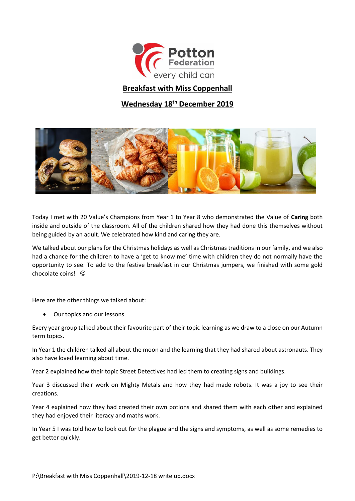

## **Breakfast with Miss Coppenhall**

## **Wednesday 18th December 2019**



Today I met with 20 Value's Champions from Year 1 to Year 8 who demonstrated the Value of **Caring** both inside and outside of the classroom. All of the children shared how they had done this themselves without being guided by an adult. We celebrated how kind and caring they are.

We talked about our plans for the Christmas holidays as well as Christmas traditions in our family, and we also had a chance for the children to have a 'get to know me' time with children they do not normally have the opportunity to see. To add to the festive breakfast in our Christmas jumpers, we finished with some gold chocolate coins!

Here are the other things we talked about:

Our topics and our lessons

Every year group talked about their favourite part of their topic learning as we draw to a close on our Autumn term topics.

In Year 1 the children talked all about the moon and the learning that they had shared about astronauts. They also have loved learning about time.

Year 2 explained how their topic Street Detectives had led them to creating signs and buildings.

Year 3 discussed their work on Mighty Metals and how they had made robots. It was a joy to see their creations.

Year 4 explained how they had created their own potions and shared them with each other and explained they had enjoyed their literacy and maths work.

In Year 5 I was told how to look out for the plague and the signs and symptoms, as well as some remedies to get better quickly.